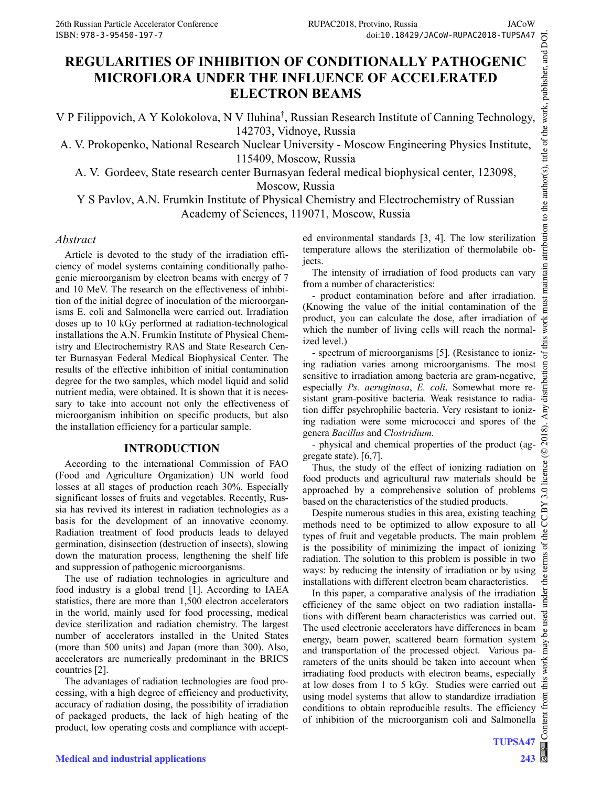# **REGULARITIES OF INHIBITION OF CONDITIONALLY PATHOGENIC MICROFLORA UNDER THE INFLUENCE OF ACCELERATED ELECTRON BEAMS**

V P Filippovich, A Y Kolokolova, N V Iluhina† , Russian Research Institute of Canning Technology, 142703, Vidnoye, Russia

A. V. Prokopenko, National Research Nuclear University - Moscow Engineering Physics Institute, 115409, Moscow, Russia

A. V. Gordeev, State research center Burnasyan federal medical biophysical center, 123098, Moscow, Russia

Y S Pavlov, A.N. Frumkin Institute of Physical Chemistry and Electrochemistry of Russian Academy of Sciences, 119071, Moscow, Russia

#### *Abstract*

Article is devoted to the study of the irradiation efficiency of model systems containing conditionally pathogenic microorganism by electron beams with energy of 7 and 10 MeV. The research on the effectiveness of inhibition of the initial degree of inoculation of the microorganisms E. coli and Salmonella were carried out. Irradiation doses up to 10 kGy performed at radiation-technological installations the A.N. Frumkin Institute of Physical Chemistry and Electrochemistry RAS and State Research Center Burnasyan Federal Medical Biophysical Center. The results of the effective inhibition of initial contamination degree for the two samples, which model liquid and solid nutrient media, were obtained. It is shown that it is necessary to take into account not only the effectiveness of microorganism inhibition on specific products, but also the installation efficiency for a particular sample.

### **INTRODUCTION**

According to the international Commission of FAO (Food and Agriculture Organization) UN world food losses at all stages of production reach 30%. Especially significant losses of fruits and vegetables. Recently, Russia has revived its interest in radiation technologies as a basis for the development of an innovative economy. Radiation treatment of food products leads to delayed germination, disinsection (destruction of insects), slowing down the maturation process, lengthening the shelf life and suppression of pathogenic microorganisms.

The use of radiation technologies in agriculture and food industry is a global trend [1]. According to IAEA statistics, there are more than 1,500 electron accelerators in the world, mainly used for food processing, medical device sterilization and radiation chemistry. The largest number of accelerators installed in the United States (more than 500 units) and Japan (more than 300). Also, accelerators are numerically predominant in the BRICS countries [2].

The advantages of radiation technologies are food processing, with a high degree of efficiency and productivity, accuracy of radiation dosing, the possibility of irradiation of packaged products, the lack of high heating of the product, low operating costs and compliance with accepted environmental standards [3, 4]. The low sterilization temperature allows the sterilization of thermolabile objects.

The intensity of irradiation of food products can vary from a number of characteristics:

- product contamination before and after irradiation. (Knowing the value of the initial contamination of the product, you can calculate the dose, after irradiation of which the number of living cells will reach the normalized level.)

- spectrum of microorganisms [5]. (Resistance to ionizing radiation varies among microorganisms. The most sensitive to irradiation among bacteria are gram-negative, especially *Ps. aeruginosa*, *E. coli*. Somewhat more resistant gram-positive bacteria. Weak resistance to radiation differ psychrophilic bacteria. Very resistant to ionizing radiation were some micrococci and spores of the genera *Bacillus* and *Clostridium*.

- physical and chemical properties of the product (aggregate state). [6,7].

Thus, the study of the effect of ionizing radiation on food products and agricultural raw materials should be approached by a comprehensive solution of problems based on the characteristics of the studied products.

Despite numerous studies in this area, existing teaching methods need to be optimized to allow exposure to all types of fruit and vegetable products. The main problem is the possibility of minimizing the impact of ionizing radiation. The solution to this problem is possible in two ways: by reducing the intensity of irradiation or by using installations with different electron beam characteristics.

In this paper, a comparative analysis of the irradiation efficiency of the same object on two radiation installations with different beam characteristics was carried out. The used electronic accelerators have differences in beam energy, beam power, scattered beam formation system and transportation of the processed object. Various parameters of the units should be taken into account when irradiating food products with electron beams, especially at low doses from 1 to 5 kGy. Studies were carried out using model systems that allow to standardize irradiation conditions to obtain reproducible results. The efficiency of inhibition of the microorganism coli and Salmonella

**TUPSA47 243**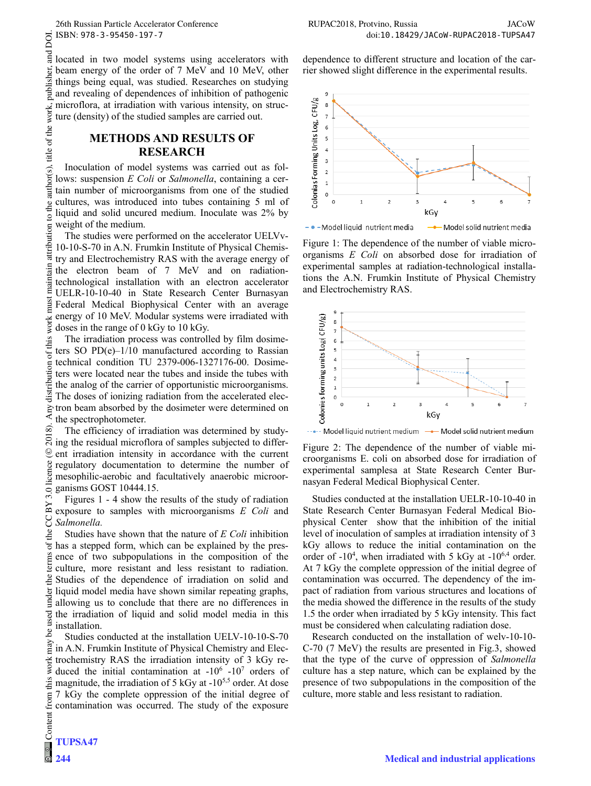dependence to different structure and location of the carrier showed slight difference in the experimental results.

located in two model systems using accelerators with beam energy of the order of 7 MeV and 10 MeV, other things being equal, was studied. Researches on studying and revealing of dependences of inhibition of pathogenic microflora, at irradiation with various intensity, on structure (density) of the studied samples are carried out.

## **METHODS AND RESULTS OF RESEARCH**

Inoculation of model systems was carried out as follows: suspension *E Coli* or *Salmonella*, containing a certain number of microorganisms from one of the studied cultures, was introduced into tubes containing 5 ml of liquid and solid uncured medium. Inoculate was 2% by weight of the medium.

The studies were performed on the accelerator UELVv-10-10-S-70 in A.N. Frumkin Institute of Physical Chemistry and Electrochemistry RAS with the average energy of the electron beam of 7 MeV and on radiationtechnological installation with an electron accelerator UELR-10-10-40 in State Research Center Burnasyan Federal Medical Biophysical Center with an average energy of 10 MeV. Modular systems were irradiated with doses in the range of 0 kGy to 10 kGy.

The irradiation process was controlled by film dosimeters SO  $PD(e)-1/10$  manufactured according to Rassian technical condition TU 2379-006-1327176-00. Dosimeters were located near the tubes and inside the tubes with the analog of the carrier of opportunistic microorganisms. The doses of ionizing radiation from the accelerated electron beam absorbed by the dosimeter were determined on the spectrophotometer.

The efficiency of irradiation was determined by studying the residual microflora of samples subjected to different irradiation intensity in accordance with the current regulatory documentation to determine the number of mesophilic-aerobic and facultatively anaerobic microorganisms GOST 10444.15.

Figures 1 - 4 show the results of the study of radiation exposure to samples with microorganisms *E Coli* and *Salmonella.*

Studies have shown that the nature of *E Coli* inhibition has a stepped form, which can be explained by the presence of two subpopulations in the composition of the culture, more resistant and less resistant to radiation. Studies of the dependence of irradiation on solid and liquid model media have shown similar repeating graphs, allowing us to conclude that there are no differences in the irradiation of liquid and solid model media in this installation.

Studies conducted at the installation UELV-10-10-S-70 in A.N. Frumkin Institute of Physical Chemistry and Elecwork trochemistry RAS the irradiation intensity of 3 kGy reduced the initial contamination at  $-10^6$  -10<sup>7</sup> orders of this magnitude, the irradiation of 5 kGy at  $-10^{5,5}$  order. At dose 7 kGy the complete oppression of the initial degree of Content from contamination was occurred. The study of the exposure  $CFU/g$ 8  $\overline{z}$ Colonias Forming Units Log  $\overline{6}$  $\overline{\phantom{a}}$  $\overline{4}$  $\overline{\mathbf{3}}$  $\overline{a}$  $\mathbf 1$  $\circ$  $\Omega$  $\overline{1}$ kGy

- • - Model liquid nutrient media - Model solid nutrient media

Figure 1: The dependence of the number of viable microorganisms *E Coli* on absorbed dose for irradiation of experimental samples at radiation-technological installations the A.N. Frumkin Institute of Physical Chemistry and Electrochemistry RAS.



... Model liquid nutrient medium -- Model solid nutrient medium

Figure 2: The dependence of the number of viable microorganisms E. coli on absorbed dose for irradiation of experimental samplesa at State Research Center Burnasyan Federal Medical Biophysical Center.

Studies conducted at the installation UELR-10-10-40 in State Research Center Burnasyan Federal Medical Biophysical Center show that the inhibition of the initial level of inoculation of samples at irradiation intensity of 3 kGy allows to reduce the initial contamination on the order of  $-10^4$ , when irradiated with 5 kGy at  $-10^{6,4}$  order. At 7 kGy the complete oppression of the initial degree of contamination was occurred. The dependency of the impact of radiation from various structures and locations of the media showed the difference in the results of the study 1.5 the order when irradiated by 5 kGy intensity. This fact must be considered when calculating radiation dose.

Research conducted on the installation of welv-10-10- C-70 (7 MeV) the results are presented in Fig.3, showed that the type of the curve of oppression of *Salmonella* culture has a step nature, which can be explained by the presence of two subpopulations in the composition of the culture, more stable and less resistant to radiation.